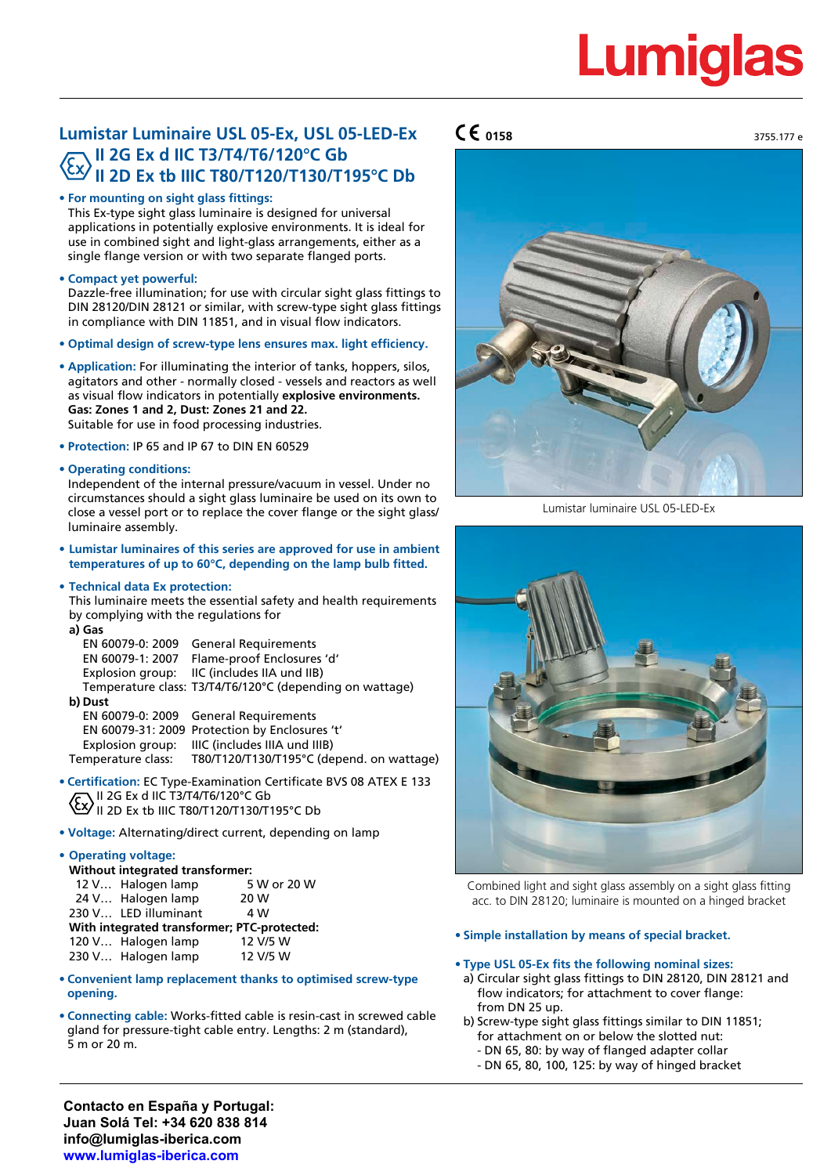# **Lumiglas**

# **Lumistar Luminaire USL 05-Ex, USL 05-LED-Ex II 2G Ex d IIC T3/T4/T6/120°C Gb II 2D Ex tb IIIC T80/T120/T130/T195°C Db**

# **• For mounting on sight glass fittings:**

This Ex-type sight glass luminaire is designed for universal applications in potentially explosive environments. It is ideal for use in combined sight and light-glass arrangements, either as a single flange version or with two separate flanged ports.

# **• Compact yet powerful:**

Dazzle-free illumination; for use with circular sight glass fittings to DIN 28120/DIN 28121 or similar, with screw-type sight glass fittings in compliance with DIN 11851, and in visual flow indicators.

- **• Optimal design of screw-type lens ensures max. light efficiency.**
- **• Application:** For illuminating the interior of tanks, hoppers, silos, agitators and other - normally closed - vessels and reactors as well as visual flow indicators in potentially **explosive environments. Gas: Zones 1 and 2, Dust: Zones 21 and 22.**

Suitable for use in food processing industries.

**• Protection:** IP 65 and IP 67 to DIN EN 60529

## **• Operating conditions:**

Independent of the internal pressure/vacuum in vessel. Under no circumstances should a sight glass luminaire be used on its own to close a vessel port or to replace the cover flange or the sight glass/ luminaire assembly.

**• Lumistar luminaires of this series are approved for use in ambient temperatures of up to 60°C, depending on the lamp bulb fitted.**

# **• Technical data Ex protection:**

This luminaire meets the essential safety and health requirements by complying with the regulations for **a) Gas**

| al Gas             |                                                          |
|--------------------|----------------------------------------------------------|
|                    | EN 60079-0: 2009 General Requirements                    |
|                    | EN 60079-1: 2007 Flame-proof Enclosures 'd'              |
|                    | Explosion group: IIC (includes IIA und IIB)              |
|                    | Temperature class: T3/T4/T6/120°C (depending on wattage) |
| b) Dust            |                                                          |
|                    | EN 60079-0: 2009 General Requirements                    |
|                    | EN 60079-31: 2009 Protection by Enclosures 't'           |
|                    | Explosion group: IIIC (includes IIIA und IIIB)           |
| Tomporature classi | $TOO(T120T120T10F°C$ (depend on watter                   |

Temperature class: T80/T120/T130/T195°C (depend. on wattage)

- **• Certification:** EC Type-Examination Certificate BVS 08 ATEX E 133 II 2G Ex d IIC T3/T4/T6/120°C Gb **Ex** II 2D Ex tb IIIC T80/T120/T130/T195°C Db
- **• Voltage:** Alternating/direct current, depending on lamp

#### **• Operating voltage:**

| Without integrated transformer:             |                      |             |  |  |  |
|---------------------------------------------|----------------------|-------------|--|--|--|
|                                             | 12 V Halogen lamp    | 5 W or 20 W |  |  |  |
|                                             | 24 V Halogen lamp    | 20 W        |  |  |  |
|                                             | 230 V LED illuminant | 4 W         |  |  |  |
| With integrated transformer; PTC-protected: |                      |             |  |  |  |
|                                             | 120 V Halogen lamp   | 12 V/5 W    |  |  |  |
|                                             | 230 V Halogen lamp   | 12 V/5 W    |  |  |  |

- **• Convenient lamp replacement thanks to optimised screw-type opening.**
- **• Connecting cable:** Works-fitted cable is resin-cast in screwed cable gland for pressure-tight cable entry. Lengths: 2 m (standard), 5 m or 20 m.

# $\mathsf{CE}_{0158}$  3755.177 e



Lumistar luminaire USL 05-LED-Ex



Combined light and sight glass assembly on a sight glass fitting acc. to DIN 28120; luminaire is mounted on a hinged bracket

#### **• Simple installation by means of special bracket.**

# **• Type USL 05-Ex fits the following nominal sizes:**

- a) Circular sight glass fittings to DIN 28120, DIN 28121 and flow indicators; for attachment to cover flange: from DN 25 up.
- b) Screw-type sight glass fittings similar to DIN 11851; for attachment on or below the slotted nut:
	- DN 65, 80: by way of flanged adapter collar
	- DN 65, 80, 100, 125: by way of hinged bracket

**Contacto en España y Portugal: Juan Solá Tel: +34 620 838 814 info@lumiglas-iberica.com www.lumiglas-iberica.com**